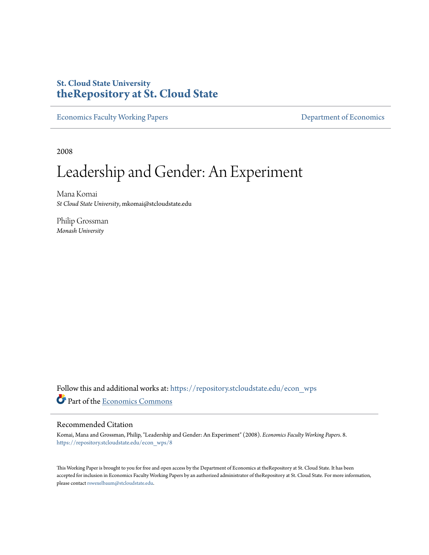## **St. Cloud State University [theRepository at St. Cloud State](https://repository.stcloudstate.edu?utm_source=repository.stcloudstate.edu%2Fecon_wps%2F8&utm_medium=PDF&utm_campaign=PDFCoverPages)**

[Economics Faculty Working Papers](https://repository.stcloudstate.edu/econ_wps?utm_source=repository.stcloudstate.edu%2Fecon_wps%2F8&utm_medium=PDF&utm_campaign=PDFCoverPages) **[Department of Economics](https://repository.stcloudstate.edu/econ?utm_source=repository.stcloudstate.edu%2Fecon_wps%2F8&utm_medium=PDF&utm_campaign=PDFCoverPages)** 

2008

# Leadership and Gender: An Experiment

Mana Komai *St Cloud State University*, mkomai@stcloudstate.edu

Philip Grossman *Monash University*

Follow this and additional works at: [https://repository.stcloudstate.edu/econ\\_wps](https://repository.stcloudstate.edu/econ_wps?utm_source=repository.stcloudstate.edu%2Fecon_wps%2F8&utm_medium=PDF&utm_campaign=PDFCoverPages) Part of the [Economics Commons](http://network.bepress.com/hgg/discipline/340?utm_source=repository.stcloudstate.edu%2Fecon_wps%2F8&utm_medium=PDF&utm_campaign=PDFCoverPages)

#### Recommended Citation

Komai, Mana and Grossman, Philip, "Leadership and Gender: An Experiment" (2008). *Economics Faculty Working Papers*. 8. [https://repository.stcloudstate.edu/econ\\_wps/8](https://repository.stcloudstate.edu/econ_wps/8?utm_source=repository.stcloudstate.edu%2Fecon_wps%2F8&utm_medium=PDF&utm_campaign=PDFCoverPages)

This Working Paper is brought to you for free and open access by the Department of Economics at theRepository at St. Cloud State. It has been accepted for inclusion in Economics Faculty Working Papers by an authorized administrator of theRepository at St. Cloud State. For more information, please contact [rswexelbaum@stcloudstate.edu.](mailto:rswexelbaum@stcloudstate.edu)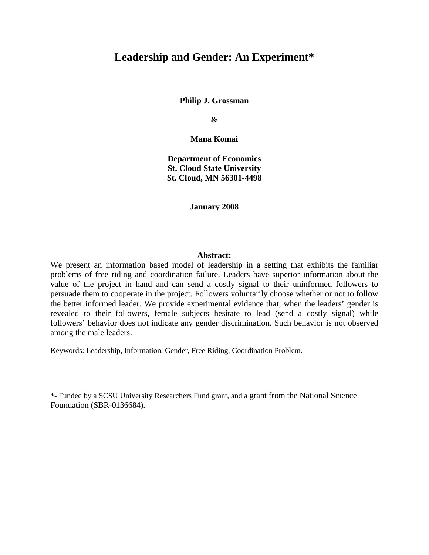### **Leadership and Gender: An Experiment\***

**Philip J. Grossman** 

**&** 

**Mana Komai** 

**Department of Economics St. Cloud State University St. Cloud, MN 56301-4498** 

**January 2008** 

#### **Abstract:**

We present an information based model of leadership in a setting that exhibits the familiar problems of free riding and coordination failure. Leaders have superior information about the value of the project in hand and can send a costly signal to their uninformed followers to persuade them to cooperate in the project. Followers voluntarily choose whether or not to follow the better informed leader. We provide experimental evidence that, when the leaders' gender is revealed to their followers, female subjects hesitate to lead (send a costly signal) while followers' behavior does not indicate any gender discrimination. Such behavior is not observed among the male leaders.

Keywords: Leadership, Information, Gender, Free Riding, Coordination Problem.

\*- Funded by a SCSU University Researchers Fund grant, and a grant from the National Science Foundation (SBR-0136684).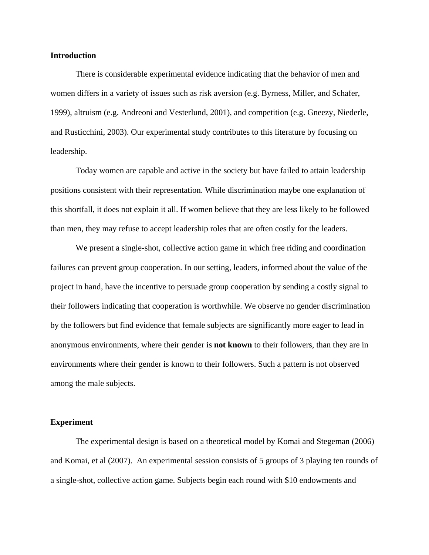#### **Introduction**

There is considerable experimental evidence indicating that the behavior of men and women differs in a variety of issues such as risk aversion (e.g. Byrness, Miller, and Schafer, 1999), altruism (e.g. Andreoni and Vesterlund, 2001), and competition (e.g. Gneezy, Niederle, and Rusticchini, 2003). Our experimental study contributes to this literature by focusing on leadership.

Today women are capable and active in the society but have failed to attain leadership positions consistent with their representation. While discrimination maybe one explanation of this shortfall, it does not explain it all. If women believe that they are less likely to be followed than men, they may refuse to accept leadership roles that are often costly for the leaders.

We present a single-shot, collective action game in which free riding and coordination failures can prevent group cooperation. In our setting, leaders, informed about the value of the project in hand, have the incentive to persuade group cooperation by sending a costly signal to their followers indicating that cooperation is worthwhile. We observe no gender discrimination by the followers but find evidence that female subjects are significantly more eager to lead in anonymous environments, where their gender is **not known** to their followers, than they are in environments where their gender is known to their followers. Such a pattern is not observed among the male subjects.

#### **Experiment**

The experimental design is based on a theoretical model by Komai and Stegeman (2006) and Komai, et al (2007). An experimental session consists of 5 groups of 3 playing ten rounds of a single-shot, collective action game. Subjects begin each round with \$10 endowments and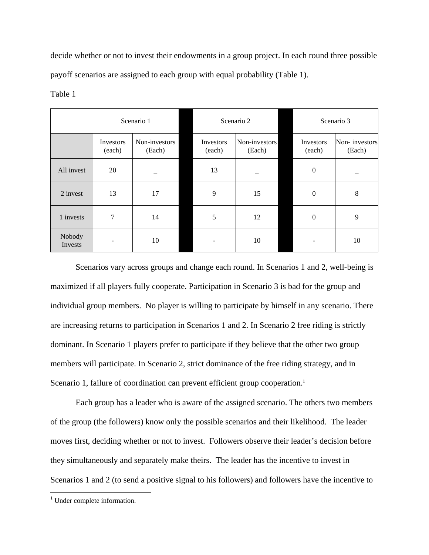decide whether or not to invest their endowments in a group project. In each round three possible payoff scenarios are assigned to each group with equal probability (Table 1).

|                   | Scenario 1          |                         | Scenario 2          |                         | Scenario 3          |                         |
|-------------------|---------------------|-------------------------|---------------------|-------------------------|---------------------|-------------------------|
|                   | Investors<br>(each) | Non-investors<br>(Each) | Investors<br>(each) | Non-investors<br>(Each) | Investors<br>(each) | Non-investors<br>(Each) |
| All invest        | 20                  |                         | 13                  |                         | $\boldsymbol{0}$    |                         |
| 2 invest          | 13                  | 17                      | 9                   | 15                      | $\boldsymbol{0}$    | $\,8\,$                 |
| 1 invests         | 7                   | 14                      | 5                   | 12                      | $\mathbf{0}$        | 9                       |
| Nobody<br>Invests |                     | 10                      |                     | 10                      |                     | 10                      |

Table 1

Scenarios vary across groups and change each round. In Scenarios 1 and 2, well-being is maximized if all players fully cooperate. Participation in Scenario 3 is bad for the group and individual group members. No player is willing to participate by himself in any scenario. There are increasing returns to participation in Scenarios 1 and 2. In Scenario 2 free riding is strictly dominant. In Scenario 1 players prefer to participate if they believe that the other two group members will participate. In Scenario 2, strict dominance of the free riding strategy, and in Scenario 1, failure of coordination can prevent efficient group cooperation.<sup>1</sup>

Each group has a leader who is aware of the assigned scenario. The others two members of the group (the followers) know only the possible scenarios and their likelihood. The leader moves first, deciding whether or not to invest. Followers observe their leader's decision before they simultaneously and separately make theirs. The leader has the incentive to invest in Scenarios 1 and 2 (to send a positive signal to his followers) and followers have the incentive to

<sup>&</sup>lt;sup>1</sup> Under complete information.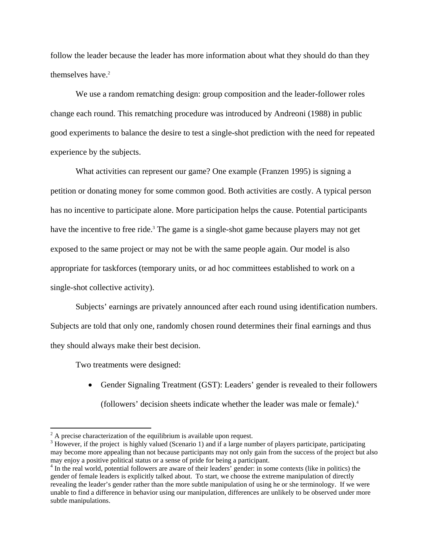follow the leader because the leader has more information about what they should do than they themselves have.<sup>2</sup>

We use a random rematching design: group composition and the leader-follower roles change each round. This rematching procedure was introduced by Andreoni (1988) in public good experiments to balance the desire to test a single-shot prediction with the need for repeated experience by the subjects.

What activities can represent our game? One example (Franzen 1995) is signing a petition or donating money for some common good. Both activities are costly. A typical person has no incentive to participate alone. More participation helps the cause. Potential participants have the incentive to free ride.<sup>3</sup> The game is a single-shot game because players may not get exposed to the same project or may not be with the same people again. Our model is also appropriate for taskforces (temporary units, or ad hoc committees established to work on a single-shot collective activity).

Subjects' earnings are privately announced after each round using identification numbers. Subjects are told that only one, randomly chosen round determines their final earnings and thus they should always make their best decision.

Two treatments were designed:

1

• Gender Signaling Treatment (GST): Leaders' gender is revealed to their followers (followers' decision sheets indicate whether the leader was male or female).4

 $2^2$  A precise characterization of the equilibrium is available upon request.

 $3$  However, if the project is highly valued (Scenario 1) and if a large number of players participate, participating may become more appealing than not because participants may not only gain from the success of the project but also may enjoy a positive political status or a sense of pride for being a participant. 4

<sup>&</sup>lt;sup>4</sup> In the real world, potential followers are aware of their leaders' gender: in some contexts (like in politics) the gender of female leaders is explicitly talked about. To start, we choose the extreme manipulation of directly revealing the leader's gender rather than the more subtle manipulation of using he or she terminology. If we were unable to find a difference in behavior using our manipulation, differences are unlikely to be observed under more subtle manipulations.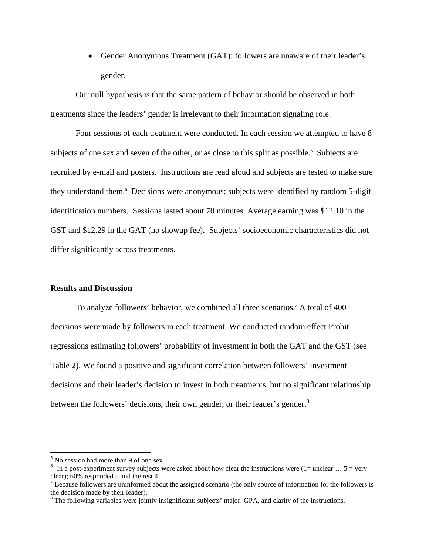• Gender Anonymous Treatment (GAT): followers are unaware of their leader's gender.

Our null hypothesis is that the same pattern of behavior should be observed in both treatments since the leaders' gender is irrelevant to their information signaling role.

Four sessions of each treatment were conducted. In each session we attempted to have 8 subjects of one sex and seven of the other, or as close to this split as possible.<sup>5</sup> Subjects are recruited by e-mail and posters. Instructions are read aloud and subjects are tested to make sure they understand them.<sup>6</sup> Decisions were anonymous; subjects were identified by random 5-digit identification numbers. Sessions lasted about 70 minutes. Average earning was \$12.10 in the GST and \$12.29 in the GAT (no showup fee). Subjects' socioeconomic characteristics did not differ significantly across treatments.

#### **Results and Discussion**

To analyze followers' behavior, we combined all three scenarios.7 A total of 400 decisions were made by followers in each treatment. We conducted random effect Probit regressions estimating followers' probability of investment in both the GAT and the GST (see Table 2). We found a positive and significant correlation between followers' investment decisions and their leader's decision to invest in both treatments, but no significant relationship between the followers' decisions, their own gender, or their leader's gender.<sup>8</sup>

<sup>&</sup>lt;sup>5</sup> No session had more than 9 of one sex.

<sup>&</sup>lt;sup>6</sup> In a post-experiment survey subjects were asked about how clear the instructions were  $(1 =$  unclear ...  $5 =$  very clear); 60% responded 5 and the rest 4.

 $<sup>7</sup>$  Because followers are uninformed about the assigned scenario (the only source of information for the followers is</sup> the decision made by their leader).

<sup>&</sup>lt;sup>8</sup> The following variables were jointly insignificant: subjects' major, GPA, and clarity of the instructions.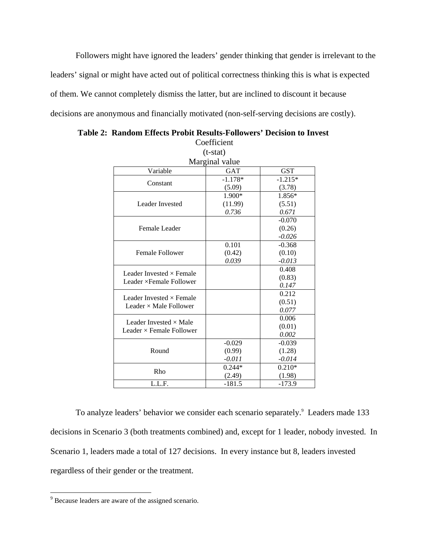Followers might have ignored the leaders' gender thinking that gender is irrelevant to the leaders' signal or might have acted out of political correctness thinking this is what is expected of them. We cannot completely dismiss the latter, but are inclined to discount it because decisions are anonymous and financially motivated (non-self-serving decisions are costly).

|                                 | Coefficient |            |  |  |  |  |  |
|---------------------------------|-------------|------------|--|--|--|--|--|
| $(t-stat)$                      |             |            |  |  |  |  |  |
| Marginal value                  |             |            |  |  |  |  |  |
| Variable                        | <b>GAT</b>  | <b>GST</b> |  |  |  |  |  |
|                                 | $-1.178*$   | $-1.215*$  |  |  |  |  |  |
| Constant                        | (5.09)      | (3.78)     |  |  |  |  |  |
|                                 | 1.900*      | 1.856*     |  |  |  |  |  |
| Leader Invested                 | (11.99)     | (5.51)     |  |  |  |  |  |
|                                 | 0.736       | 0.671      |  |  |  |  |  |
|                                 |             | $-0.070$   |  |  |  |  |  |
| Female Leader                   |             | (0.26)     |  |  |  |  |  |
|                                 |             | $-0.026$   |  |  |  |  |  |
|                                 | 0.101       | $-0.368$   |  |  |  |  |  |
| <b>Female Follower</b>          | (0.42)      | (0.10)     |  |  |  |  |  |
|                                 | 0.039       | $-0.013$   |  |  |  |  |  |
| Leader Invested $\times$ Female |             | 0.408      |  |  |  |  |  |
| Leader × Female Follower        |             | (0.83)     |  |  |  |  |  |
|                                 |             | 0.147      |  |  |  |  |  |
| Leader Invested $\times$ Female |             | 0.212      |  |  |  |  |  |
| Leader $\times$ Male Follower   |             | (0.51)     |  |  |  |  |  |
|                                 |             | 0.077      |  |  |  |  |  |
| Leader Invested $\times$ Male   |             | 0.006      |  |  |  |  |  |
| Leader $\times$ Female Follower |             | (0.01)     |  |  |  |  |  |
|                                 |             | 0.002      |  |  |  |  |  |
|                                 | $-0.029$    | $-0.039$   |  |  |  |  |  |
| Round                           | (0.99)      | (1.28)     |  |  |  |  |  |
|                                 | $-0.011$    | $-0.014$   |  |  |  |  |  |
| Rho                             | $0.244*$    | $0.210*$   |  |  |  |  |  |
|                                 | (2.49)      | (1.98)     |  |  |  |  |  |
| L.L.F.                          | $-181.5$    | $-173.9$   |  |  |  |  |  |

 **Table 2: Random Effects Probit Results-Followers' Decision to Invest** 

To analyze leaders' behavior we consider each scenario separately.<sup>9</sup> Leaders made 133 decisions in Scenario 3 (both treatments combined) and, except for 1 leader, nobody invested. In Scenario 1, leaders made a total of 127 decisions. In every instance but 8, leaders invested regardless of their gender or the treatment.

<sup>&</sup>lt;sup>9</sup> Because leaders are aware of the assigned scenario.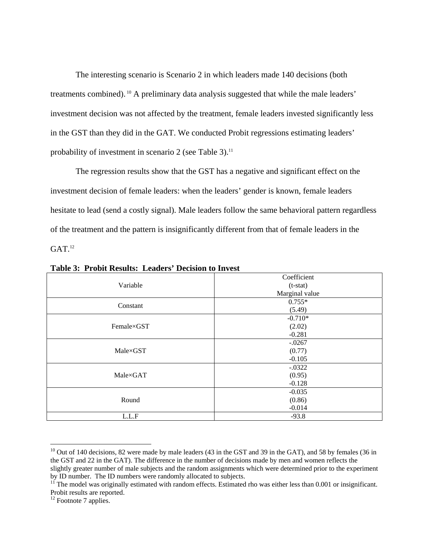The interesting scenario is Scenario 2 in which leaders made 140 decisions (both treatments combined). 10 A preliminary data analysis suggested that while the male leaders' investment decision was not affected by the treatment, female leaders invested significantly less in the GST than they did in the GAT. We conducted Probit regressions estimating leaders' probability of investment in scenario 2 (see Table 3).<sup>11</sup>

The regression results show that the GST has a negative and significant effect on the investment decision of female leaders: when the leaders' gender is known, female leaders hesitate to lead (send a costly signal). Male leaders follow the same behavioral pattern regardless of the treatment and the pattern is insignificantly different from that of female leaders in the  $GAT$ <sup>12</sup>

|            | Coefficient    |  |  |  |  |
|------------|----------------|--|--|--|--|
| Variable   | $(t-stat)$     |  |  |  |  |
|            | Marginal value |  |  |  |  |
|            | $0.755*$       |  |  |  |  |
| Constant   | (5.49)         |  |  |  |  |
|            | $-0.710*$      |  |  |  |  |
| Female×GST | (2.02)         |  |  |  |  |
|            | $-0.281$       |  |  |  |  |
|            | $-.0267$       |  |  |  |  |
| Male×GST   | (0.77)         |  |  |  |  |
|            | $-0.105$       |  |  |  |  |
|            | $-0.0322$      |  |  |  |  |
| Male×GAT   | (0.95)         |  |  |  |  |
|            | $-0.128$       |  |  |  |  |
|            | $-0.035$       |  |  |  |  |
| Round      | (0.86)         |  |  |  |  |
|            | $-0.014$       |  |  |  |  |
| L.L.F      | $-93.8$        |  |  |  |  |

**Table 3: Probit Results: Leaders' Decision to Invest** 

 $10$  Out of 140 decisions, 82 were made by male leaders (43 in the GST and 39 in the GAT), and 58 by females (36 in the GST and 22 in the GAT). The difference in the number of decisions made by men and women reflects the slightly greater number of male subjects and the random assignments which were determined prior to the experiment by ID number. The ID numbers were randomly allocated to subjects.

 $11$ <sup>T</sup> The model was originally estimated with random effects. Estimated rho was either less than 0.001 or insignificant. Probit results are reported.

 $12$  Footnote 7 applies.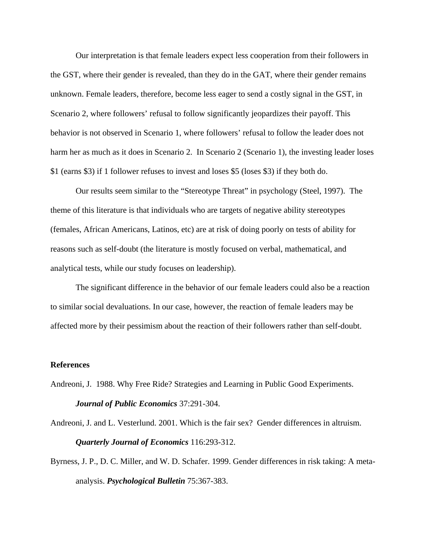Our interpretation is that female leaders expect less cooperation from their followers in the GST, where their gender is revealed, than they do in the GAT, where their gender remains unknown. Female leaders, therefore, become less eager to send a costly signal in the GST, in Scenario 2, where followers' refusal to follow significantly jeopardizes their payoff. This behavior is not observed in Scenario 1, where followers' refusal to follow the leader does not harm her as much as it does in Scenario 2. In Scenario 2 (Scenario 1), the investing leader loses \$1 (earns \$3) if 1 follower refuses to invest and loses \$5 (loses \$3) if they both do.

Our results seem similar to the "Stereotype Threat" in psychology (Steel, 1997). The theme of this literature is that individuals who are targets of negative ability stereotypes (females, African Americans, Latinos, etc) are at risk of doing poorly on tests of ability for reasons such as self-doubt (the literature is mostly focused on verbal, mathematical, and analytical tests, while our study focuses on leadership).

The significant difference in the behavior of our female leaders could also be a reaction to similar social devaluations. In our case, however, the reaction of female leaders may be affected more by their pessimism about the reaction of their followers rather than self-doubt.

#### **References**

Andreoni, J. 1988. Why Free Ride? Strategies and Learning in Public Good Experiments. *Journal of Public Economics* 37:291-304.

Andreoni, J. and L. Vesterlund. 2001. Which is the fair sex? Gender differences in altruism. *Quarterly Journal of Economics* 116:293-312.

Byrness, J. P., D. C. Miller, and W. D. Schafer. 1999. Gender differences in risk taking: A metaanalysis. *Psychological Bulletin* 75:367-383.